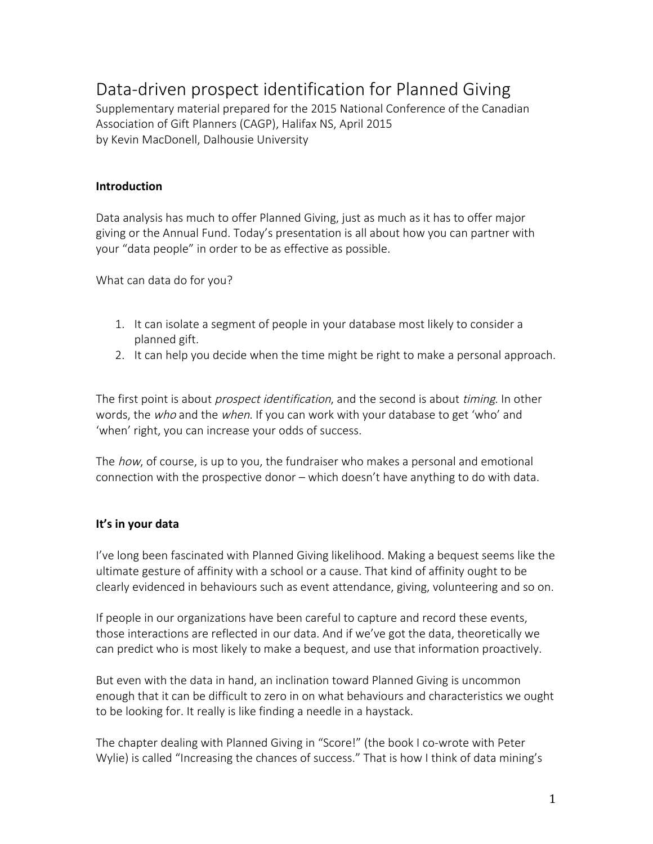# Data-driven prospect identification for Planned Giving

Supplementary material prepared for the 2015 National Conference of the Canadian Association of Gift Planners (CAGP), Halifax NS, April 2015 by Kevin MacDonell, Dalhousie University

## **Introduction**

Data analysis has much to offer Planned Giving, just as much as it has to offer major giving or the Annual Fund. Today's presentation is all about how you can partner with your "data people" in order to be as effective as possible.

What can data do for you?

- 1. It can isolate a segment of people in your database most likely to consider a planned gift.
- 2. It can help you decide when the time might be right to make a personal approach.

The first point is about *prospect identification*, and the second is about *timing*. In other words, the who and the when. If you can work with your database to get 'who' and 'when' right, you can increase your odds of success.

The *how*, of course, is up to you, the fundraiser who makes a personal and emotional connection with the prospective donor – which doesn't have anything to do with data.

## **It's in your data**

I've long been fascinated with Planned Giving likelihood. Making a bequest seems like the ultimate gesture of affinity with a school or a cause. That kind of affinity ought to be clearly evidenced in behaviours such as event attendance, giving, volunteering and so on.

If people in our organizations have been careful to capture and record these events, those interactions are reflected in our data. And if we've got the data, theoretically we can predict who is most likely to make a bequest, and use that information proactively.

But even with the data in hand, an inclination toward Planned Giving is uncommon enough that it can be difficult to zero in on what behaviours and characteristics we ought to be looking for. It really is like finding a needle in a haystack.

The chapter dealing with Planned Giving in "Score!" (the book I co-wrote with Peter Wylie) is called "Increasing the chances of success." That is how I think of data mining's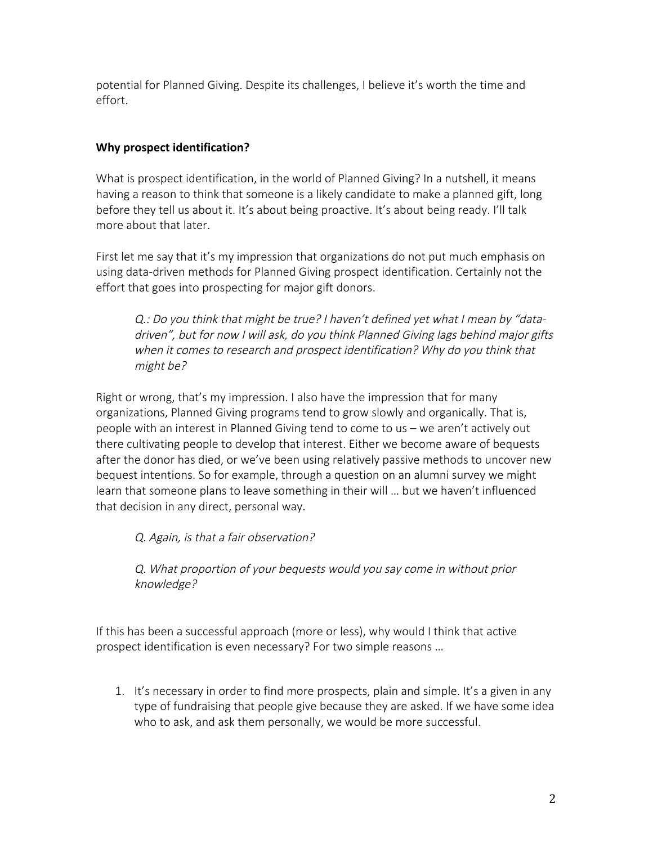potential for Planned Giving. Despite its challenges, I believe it's worth the time and effort.

# **Why prospect identification?**

What is prospect identification, in the world of Planned Giving? In a nutshell, it means having a reason to think that someone is a likely candidate to make a planned gift, long before they tell us about it. It's about being proactive. It's about being ready. I'll talk more about that later.

First let me say that it's my impression that organizations do not put much emphasis on using data-driven methods for Planned Giving prospect identification. Certainly not the effort that goes into prospecting for major gift donors.

Q.: Do you think that might be true? I haven't defined yet what I mean by "datadriven", but for now I will ask, do you think Planned Giving lags behind major gifts when it comes to research and prospect identification? Why do you think that might be?

Right or wrong, that's my impression. I also have the impression that for many organizations, Planned Giving programs tend to grow slowly and organically. That is, people with an interest in Planned Giving tend to come to us – we aren't actively out there cultivating people to develop that interest. Either we become aware of bequests after the donor has died, or we've been using relatively passive methods to uncover new bequest intentions. So for example, through a question on an alumni survey we might learn that someone plans to leave something in their will … but we haven't influenced that decision in any direct, personal way.

Q. Again, is that a fair observation?

Q. What proportion of your bequests would you say come in without prior knowledge?

If this has been a successful approach (more or less), why would I think that active prospect identification is even necessary? For two simple reasons …

1. It's necessary in order to find more prospects, plain and simple. It's a given in any type of fundraising that people give because they are asked. If we have some idea who to ask, and ask them personally, we would be more successful.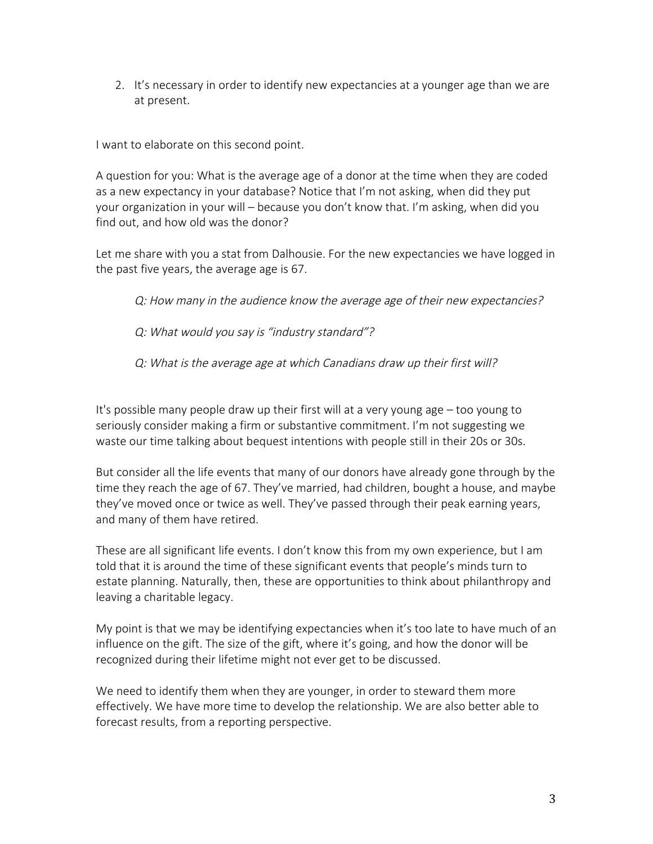2. It's necessary in order to identify new expectancies at a younger age than we are at present.

I want to elaborate on this second point.

A question for you: What is the average age of a donor at the time when they are coded as a new expectancy in your database? Notice that I'm not asking, when did they put your organization in your will – because you don't know that. I'm asking, when did you find out, and how old was the donor?

Let me share with you a stat from Dalhousie. For the new expectancies we have logged in the past five years, the average age is 67.

Q: How many in the audience know the average age of their new expectancies?

Q: What would you say is "industry standard"?

Q: What is the average age at which Canadians draw up their first will?

It's possible many people draw up their first will at a very young age – too young to seriously consider making a firm or substantive commitment. I'm not suggesting we waste our time talking about bequest intentions with people still in their 20s or 30s.

But consider all the life events that many of our donors have already gone through by the time they reach the age of 67. They've married, had children, bought a house, and maybe they've moved once or twice as well. They've passed through their peak earning years, and many of them have retired.

These are all significant life events. I don't know this from my own experience, but I am told that it is around the time of these significant events that people's minds turn to estate planning. Naturally, then, these are opportunities to think about philanthropy and leaving a charitable legacy.

My point is that we may be identifying expectancies when it's too late to have much of an influence on the gift. The size of the gift, where it's going, and how the donor will be recognized during their lifetime might not ever get to be discussed.

We need to identify them when they are younger, in order to steward them more effectively. We have more time to develop the relationship. We are also better able to forecast results, from a reporting perspective.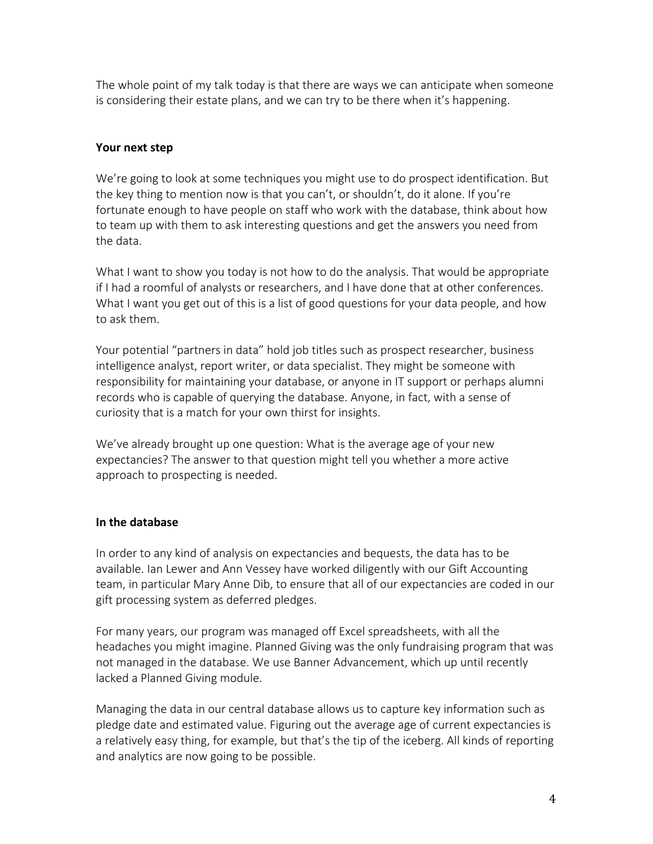The whole point of my talk today is that there are ways we can anticipate when someone is considering their estate plans, and we can try to be there when it's happening.

## **Your next step**

We're going to look at some techniques you might use to do prospect identification. But the key thing to mention now is that you can't, or shouldn't, do it alone. If you're fortunate enough to have people on staff who work with the database, think about how to team up with them to ask interesting questions and get the answers you need from the data.

What I want to show you today is not how to do the analysis. That would be appropriate if I had a roomful of analysts or researchers, and I have done that at other conferences. What I want you get out of this is a list of good questions for your data people, and how to ask them.

Your potential "partners in data" hold job titles such as prospect researcher, business intelligence analyst, report writer, or data specialist. They might be someone with responsibility for maintaining your database, or anyone in IT support or perhaps alumni records who is capable of querying the database. Anyone, in fact, with a sense of curiosity that is a match for your own thirst for insights.

We've already brought up one question: What is the average age of your new expectancies? The answer to that question might tell you whether a more active approach to prospecting is needed.

# **In the database**

In order to any kind of analysis on expectancies and bequests, the data has to be available. Ian Lewer and Ann Vessey have worked diligently with our Gift Accounting team, in particular Mary Anne Dib, to ensure that all of our expectancies are coded in our gift processing system as deferred pledges.

For many years, our program was managed off Excel spreadsheets, with all the headaches you might imagine. Planned Giving was the only fundraising program that was not managed in the database. We use Banner Advancement, which up until recently lacked a Planned Giving module.

Managing the data in our central database allows us to capture key information such as pledge date and estimated value. Figuring out the average age of current expectancies is a relatively easy thing, for example, but that's the tip of the iceberg. All kinds of reporting and analytics are now going to be possible.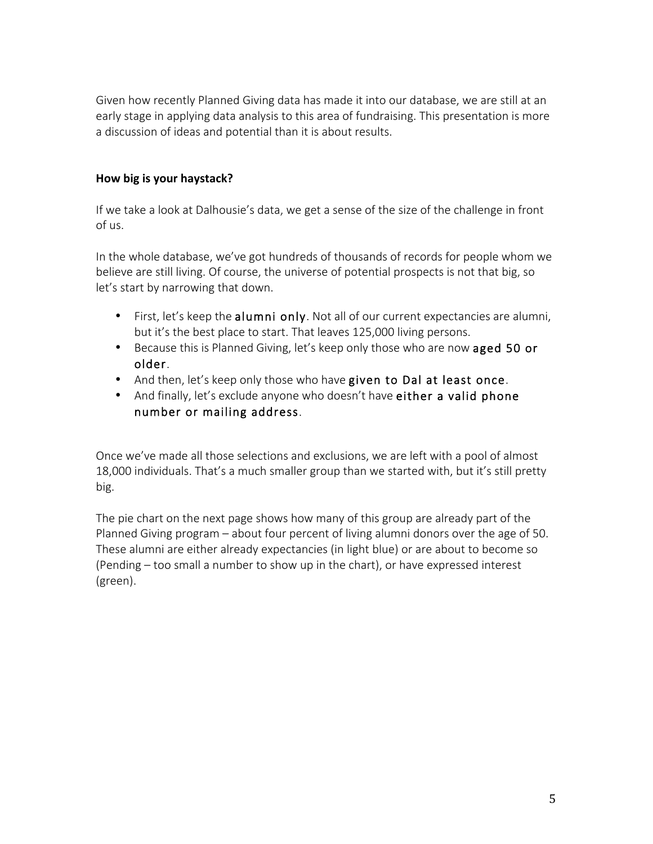Given how recently Planned Giving data has made it into our database, we are still at an early stage in applying data analysis to this area of fundraising. This presentation is more a discussion of ideas and potential than it is about results.

## How big is your haystack?

If we take a look at Dalhousie's data, we get a sense of the size of the challenge in front of us.

In the whole database, we've got hundreds of thousands of records for people whom we believe are still living. Of course, the universe of potential prospects is not that big, so let's start by narrowing that down.

- First, let's keep the alumni only. Not all of our current expectancies are alumni, but it's the best place to start. That leaves 125,000 living persons.
- Because this is Planned Giving, let's keep only those who are now aged 50 or older.
- And then, let's keep only those who have given to Dal at least once.
- And finally, let's exclude anyone who doesn't have either a valid phone number or mailing address.

Once we've made all those selections and exclusions, we are left with a pool of almost 18,000 individuals. That's a much smaller group than we started with, but it's still pretty big.

The pie chart on the next page shows how many of this group are already part of the Planned Giving program – about four percent of living alumni donors over the age of 50. These alumni are either already expectancies (in light blue) or are about to become so (Pending – too small a number to show up in the chart), or have expressed interest (green).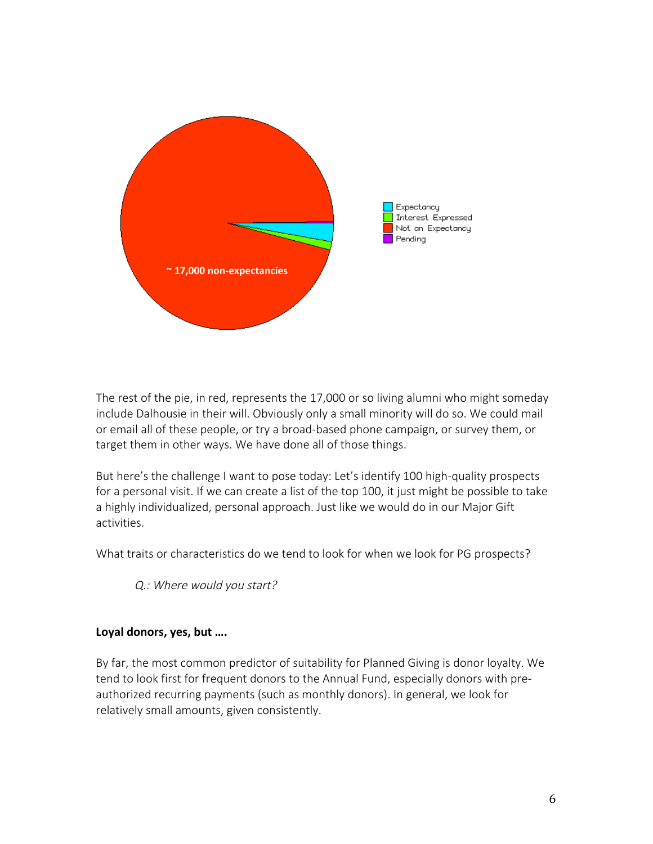

The rest of the pie, in red, represents the 17,000 or so living alumni who might someday include Dalhousie in their will. Obviously only a small minority will do so. We could mail or email all of these people, or try a broad-based phone campaign, or survey them, or target them in other ways. We have done all of those things.

But here's the challenge I want to pose today: Let's identify 100 high-quality prospects for a personal visit. If we can create a list of the top 100, it just might be possible to take a highly individualized, personal approach. Just like we would do in our Major Gift activities.

What traits or characteristics do we tend to look for when we look for PG prospects?

Q.: Where would you start?

## Loyal donors, yes, but ....

By far, the most common predictor of suitability for Planned Giving is donor loyalty. We tend to look first for frequent donors to the Annual Fund, especially donors with preauthorized recurring payments (such as monthly donors). In general, we look for relatively small amounts, given consistently.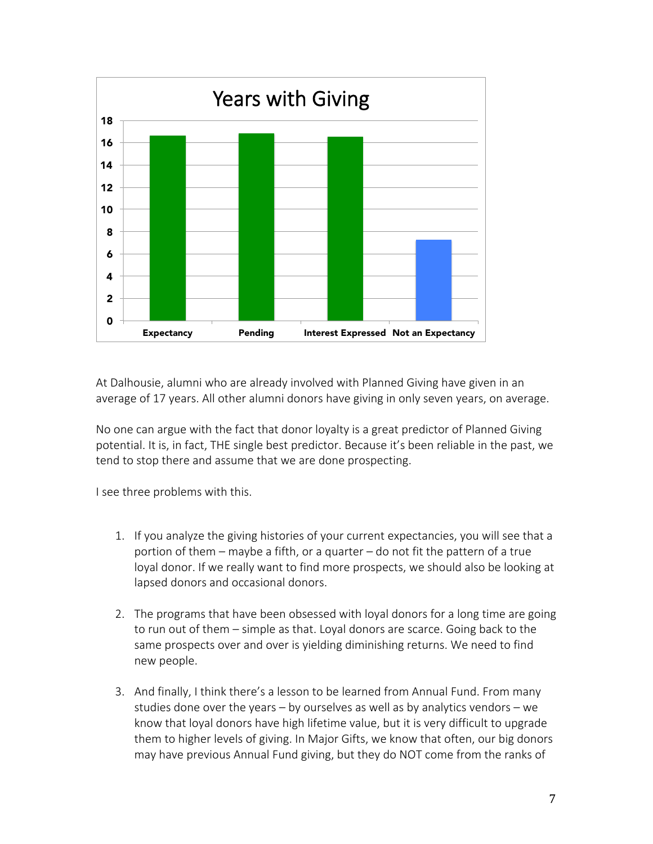

At Dalhousie, alumni who are already involved with Planned Giving have given in an average of 17 years. All other alumni donors have giving in only seven years, on average.

No one can argue with the fact that donor loyalty is a great predictor of Planned Giving potential. It is, in fact, THE single best predictor. Because it's been reliable in the past, we tend to stop there and assume that we are done prospecting.

I see three problems with this.

- 1. If you analyze the giving histories of your current expectancies, you will see that a portion of them – maybe a fifth, or a quarter – do not fit the pattern of a true loyal donor. If we really want to find more prospects, we should also be looking at lapsed donors and occasional donors.
- 2. The programs that have been obsessed with loyal donors for a long time are going to run out of them – simple as that. Loyal donors are scarce. Going back to the same prospects over and over is yielding diminishing returns. We need to find new people.
- 3. And finally, I think there's a lesson to be learned from Annual Fund. From many studies done over the years – by ourselves as well as by analytics vendors – we know that loyal donors have high lifetime value, but it is very difficult to upgrade them to higher levels of giving. In Major Gifts, we know that often, our big donors may have previous Annual Fund giving, but they do NOT come from the ranks of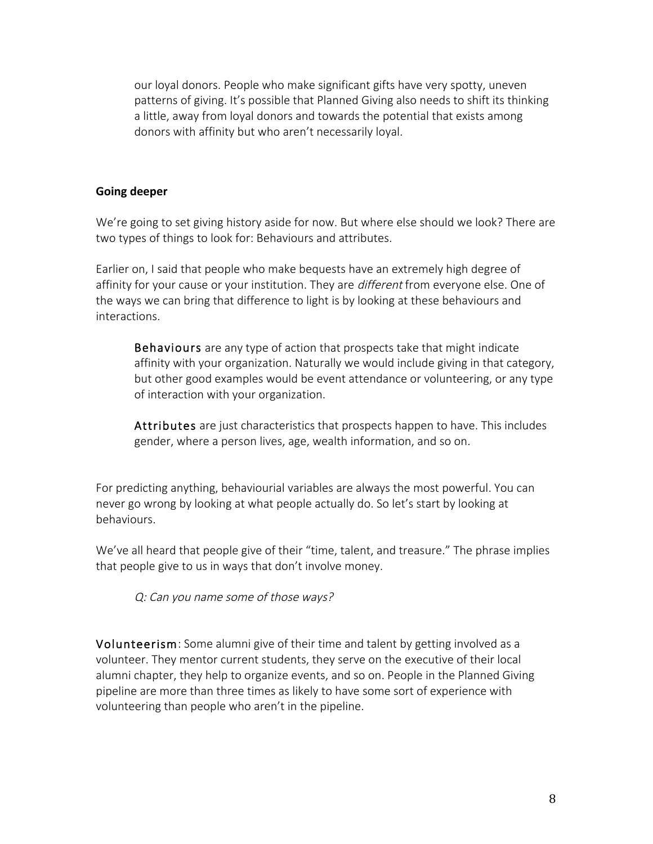our loyal donors. People who make significant gifts have very spotty, uneven patterns of giving. It's possible that Planned Giving also needs to shift its thinking a little, away from loyal donors and towards the potential that exists among donors with affinity but who aren't necessarily loyal.

#### **Going deeper**

We're going to set giving history aside for now. But where else should we look? There are two types of things to look for: Behaviours and attributes.

Earlier on, I said that people who make bequests have an extremely high degree of affinity for your cause or your institution. They are *different* from everyone else. One of the ways we can bring that difference to light is by looking at these behaviours and interactions.

Behaviours are any type of action that prospects take that might indicate affinity with your organization. Naturally we would include giving in that category, but other good examples would be event attendance or volunteering, or any type of interaction with your organization.

Attributes are just characteristics that prospects happen to have. This includes gender, where a person lives, age, wealth information, and so on.

For predicting anything, behaviourial variables are always the most powerful. You can never go wrong by looking at what people actually do. So let's start by looking at behaviours.

We've all heard that people give of their "time, talent, and treasure." The phrase implies that people give to us in ways that don't involve money.

Q: Can you name some of those ways?

Volunteerism: Some alumni give of their time and talent by getting involved as a volunteer. They mentor current students, they serve on the executive of their local alumni chapter, they help to organize events, and so on. People in the Planned Giving pipeline are more than three times as likely to have some sort of experience with volunteering than people who aren't in the pipeline.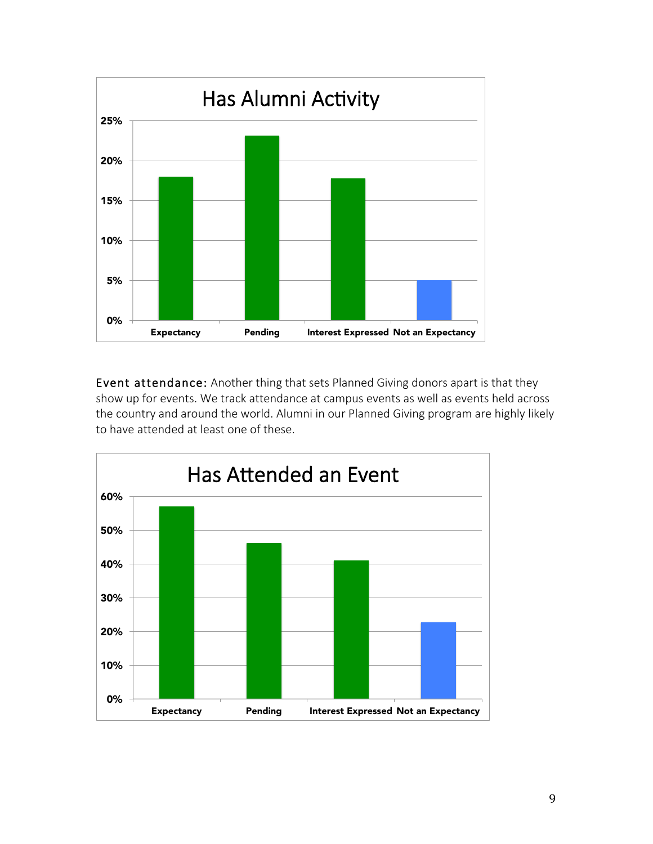

Event attendance: Another thing that sets Planned Giving donors apart is that they show up for events. We track attendance at campus events as well as events held across the country and around the world. Alumni in our Planned Giving program are highly likely to have attended at least one of these.

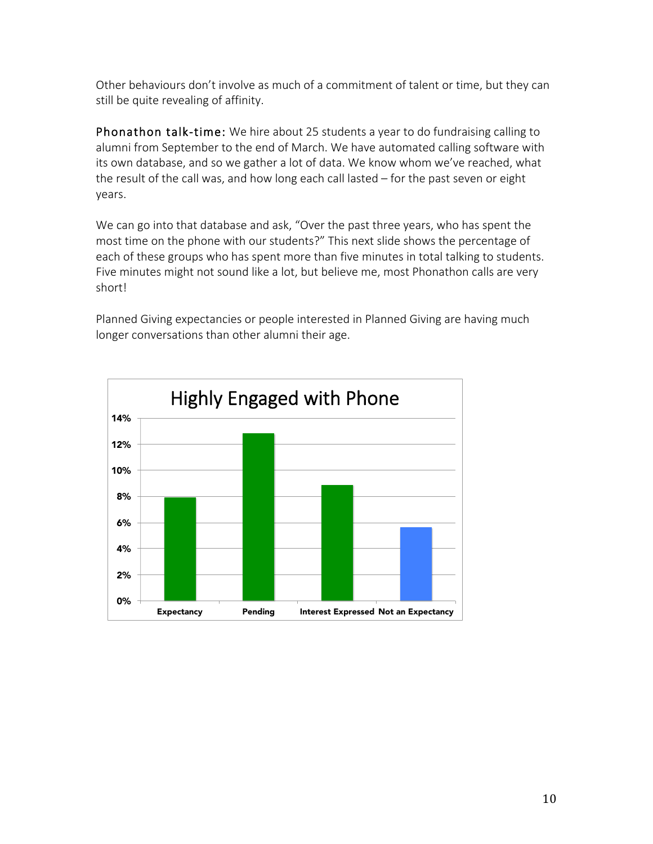Other behaviours don't involve as much of a commitment of talent or time, but they can still be quite revealing of affinity.

Phonathon talk-time: We hire about 25 students a year to do fundraising calling to alumni from September to the end of March. We have automated calling software with its own database, and so we gather a lot of data. We know whom we've reached, what the result of the call was, and how long each call lasted – for the past seven or eight years.

We can go into that database and ask, "Over the past three years, who has spent the most time on the phone with our students?" This next slide shows the percentage of each of these groups who has spent more than five minutes in total talking to students. Five minutes might not sound like a lot, but believe me, most Phonathon calls are very short!

Planned Giving expectancies or people interested in Planned Giving are having much longer conversations than other alumni their age.

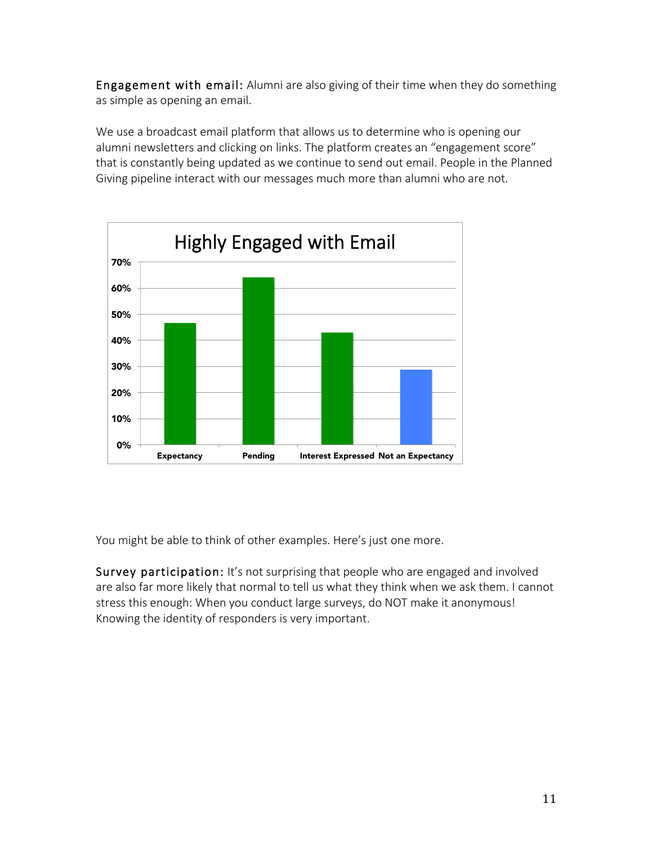Engagement with email: Alumni are also giving of their time when they do something as simple as opening an email.

We use a broadcast email platform that allows us to determine who is opening our alumni newsletters and clicking on links. The platform creates an "engagement score" that is constantly being updated as we continue to send out email. People in the Planned Giving pipeline interact with our messages much more than alumni who are not.



You might be able to think of other examples. Here's just one more.

Survey participation: It's not surprising that people who are engaged and involved are also far more likely that normal to tell us what they think when we ask them. I cannot stress this enough: When you conduct large surveys, do NOT make it anonymous! Knowing the identity of responders is very important.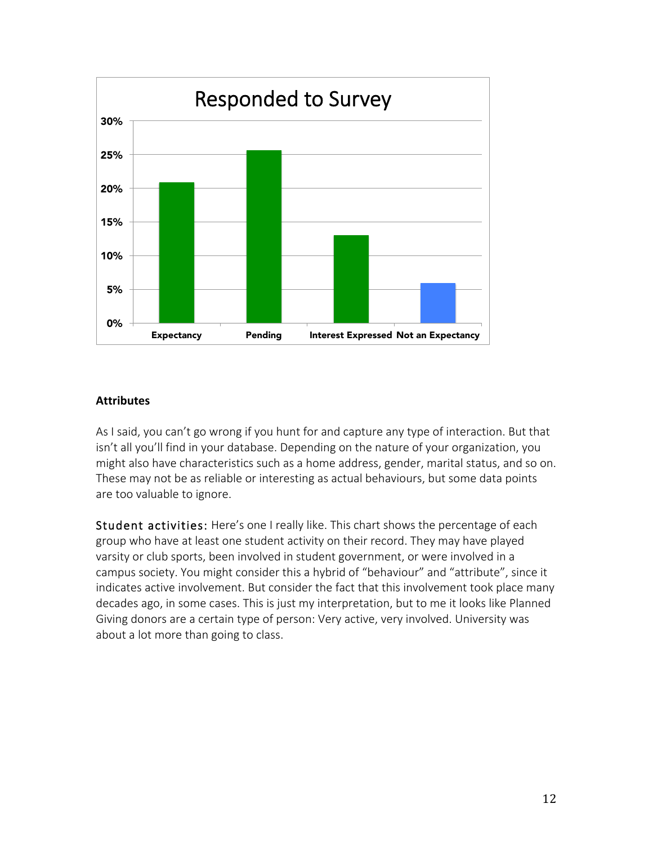

#### **Attributes**

As I said, you can't go wrong if you hunt for and capture any type of interaction. But that isn't all you'll find in your database. Depending on the nature of your organization, you might also have characteristics such as a home address, gender, marital status, and so on. These may not be as reliable or interesting as actual behaviours, but some data points are too valuable to ignore.

Student activities: Here's one I really like. This chart shows the percentage of each group who have at least one student activity on their record. They may have played varsity or club sports, been involved in student government, or were involved in a campus society. You might consider this a hybrid of "behaviour" and "attribute", since it indicates active involvement. But consider the fact that this involvement took place many decades ago, in some cases. This is just my interpretation, but to me it looks like Planned Giving donors are a certain type of person: Very active, very involved. University was about a lot more than going to class.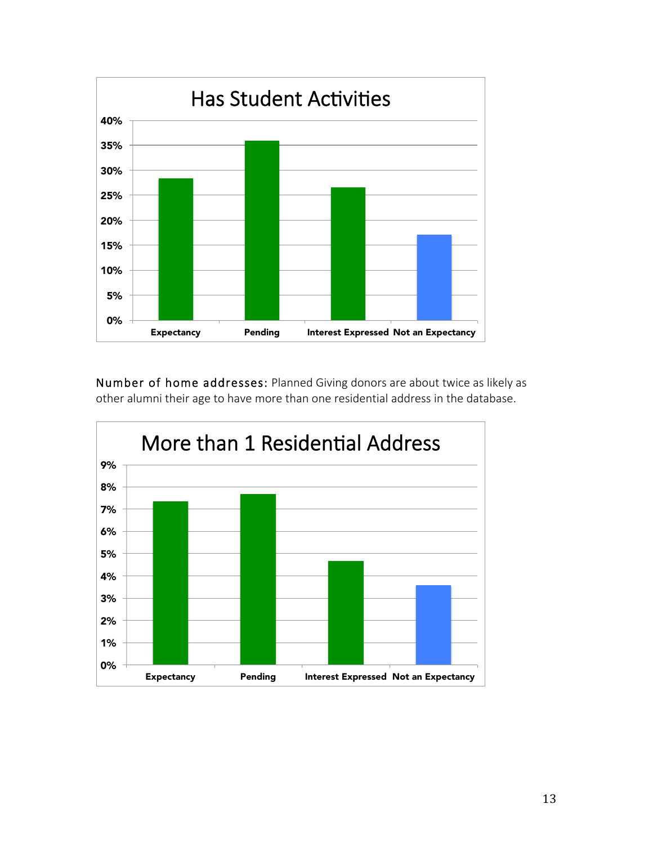

Number of home addresses: Planned Giving donors are about twice as likely as other alumni their age to have more than one residential address in the database.

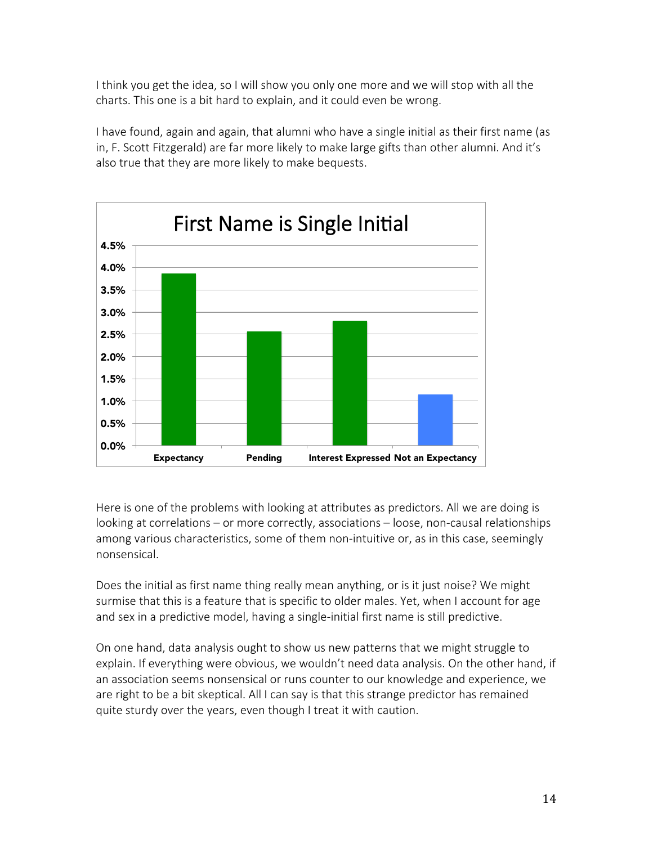I think you get the idea, so I will show you only one more and we will stop with all the charts. This one is a bit hard to explain, and it could even be wrong.

I have found, again and again, that alumni who have a single initial as their first name (as in, F. Scott Fitzgerald) are far more likely to make large gifts than other alumni. And it's also true that they are more likely to make bequests.



Here is one of the problems with looking at attributes as predictors. All we are doing is looking at correlations – or more correctly, associations – loose, non-causal relationships among various characteristics, some of them non-intuitive or, as in this case, seemingly nonsensical.

Does the initial as first name thing really mean anything, or is it just noise? We might surmise that this is a feature that is specific to older males. Yet, when I account for age and sex in a predictive model, having a single-initial first name is still predictive.

On one hand, data analysis ought to show us new patterns that we might struggle to explain. If everything were obvious, we wouldn't need data analysis. On the other hand, if an association seems nonsensical or runs counter to our knowledge and experience, we are right to be a bit skeptical. All I can say is that this strange predictor has remained quite sturdy over the years, even though I treat it with caution.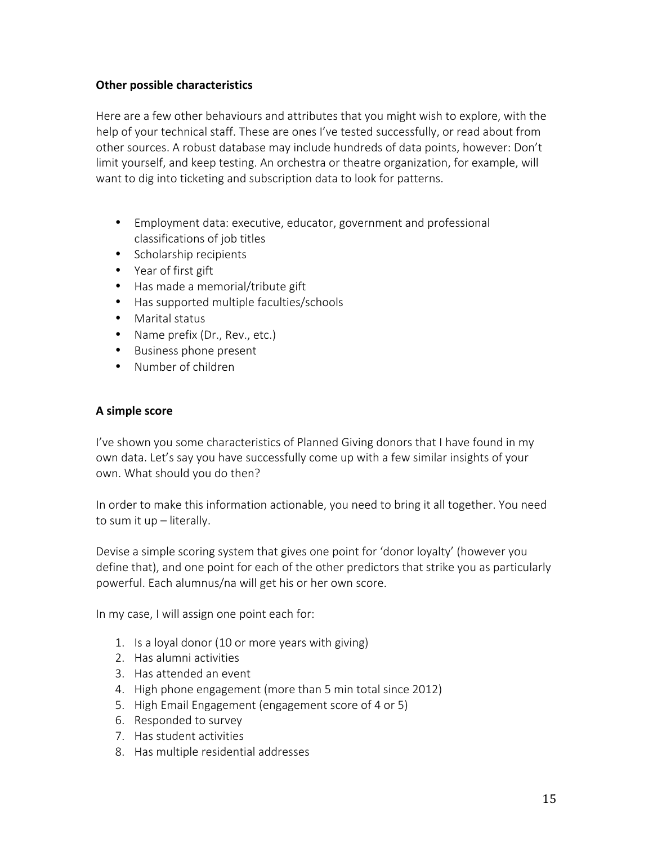#### **Other possible characteristics**

Here are a few other behaviours and attributes that you might wish to explore, with the help of your technical staff. These are ones I've tested successfully, or read about from other sources. A robust database may include hundreds of data points, however: Don't limit yourself, and keep testing. An orchestra or theatre organization, for example, will want to dig into ticketing and subscription data to look for patterns.

- Employment data: executive, educator, government and professional classifications of job titles
- Scholarship recipients
- Year of first gift
- Has made a memorial/tribute gift
- Has supported multiple faculties/schools
- Marital status
- Name prefix (Dr., Rev., etc.)
- Business phone present
- Number of children

#### **A simple score**

I've shown you some characteristics of Planned Giving donors that I have found in my own data. Let's say you have successfully come up with a few similar insights of your own. What should you do then?

In order to make this information actionable, you need to bring it all together. You need to sum it up – literally.

Devise a simple scoring system that gives one point for 'donor loyalty' (however you define that), and one point for each of the other predictors that strike you as particularly powerful. Each alumnus/na will get his or her own score.

In my case, I will assign one point each for:

- 1. Is a loyal donor (10 or more years with giving)
- 2. Has alumni activities
- 3. Has attended an event
- 4. High phone engagement (more than 5 min total since 2012)
- 5. High Email Engagement (engagement score of 4 or 5)
- 6. Responded to survey
- 7. Has student activities
- 8. Has multiple residential addresses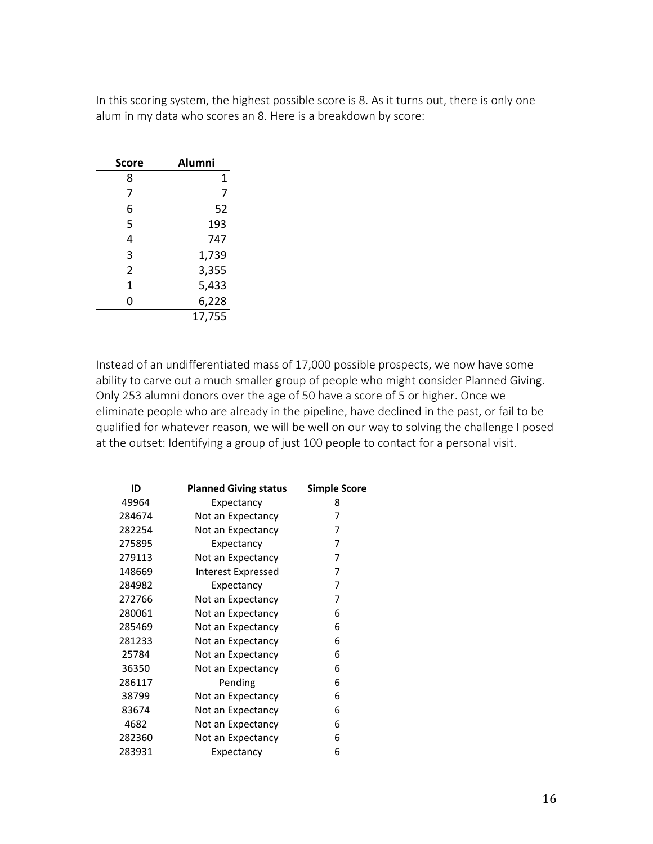In this scoring system, the highest possible score is 8. As it turns out, there is only one alum in my data who scores an 8. Here is a breakdown by score:

| Score          | <b>Alumni</b> |
|----------------|---------------|
| 8              | 1             |
| 7              | 7             |
| 6              | 52            |
| 5              | 193           |
| 4              | 747           |
| 3              | 1,739         |
| $\overline{2}$ | 3,355         |
| $\mathbf{1}$   | 5,433         |
| 0              | 6,228         |
|                | 17,755        |

Instead of an undifferentiated mass of 17,000 possible prospects, we now have some ability to carve out a much smaller group of people who might consider Planned Giving. Only 253 alumni donors over the age of 50 have a score of 5 or higher. Once we eliminate people who are already in the pipeline, have declined in the past, or fail to be qualified for whatever reason, we will be well on our way to solving the challenge I posed at the outset: Identifying a group of just 100 people to contact for a personal visit.

| ID     | <b>Planned Giving status</b> | <b>Simple Score</b> |
|--------|------------------------------|---------------------|
| 49964  | Expectancy                   | 8                   |
| 284674 | Not an Expectancy            | 7                   |
| 282254 | Not an Expectancy            | 7                   |
| 275895 | Expectancy                   | 7                   |
| 279113 | Not an Expectancy            | 7                   |
| 148669 | Interest Expressed           | 7                   |
| 284982 | Expectancy                   | 7                   |
| 272766 | Not an Expectancy            | 7                   |
| 280061 | Not an Expectancy            | 6                   |
| 285469 | Not an Expectancy            | 6                   |
| 281233 | Not an Expectancy            | 6                   |
| 25784  | Not an Expectancy            | 6                   |
| 36350  | Not an Expectancy            | 6                   |
| 286117 | Pending                      | 6                   |
| 38799  | Not an Expectancy            | 6                   |
| 83674  | Not an Expectancy            | 6                   |
| 4682   | Not an Expectancy            | 6                   |
| 282360 | Not an Expectancy            | 6                   |
| 283931 | Expectancy                   | 6                   |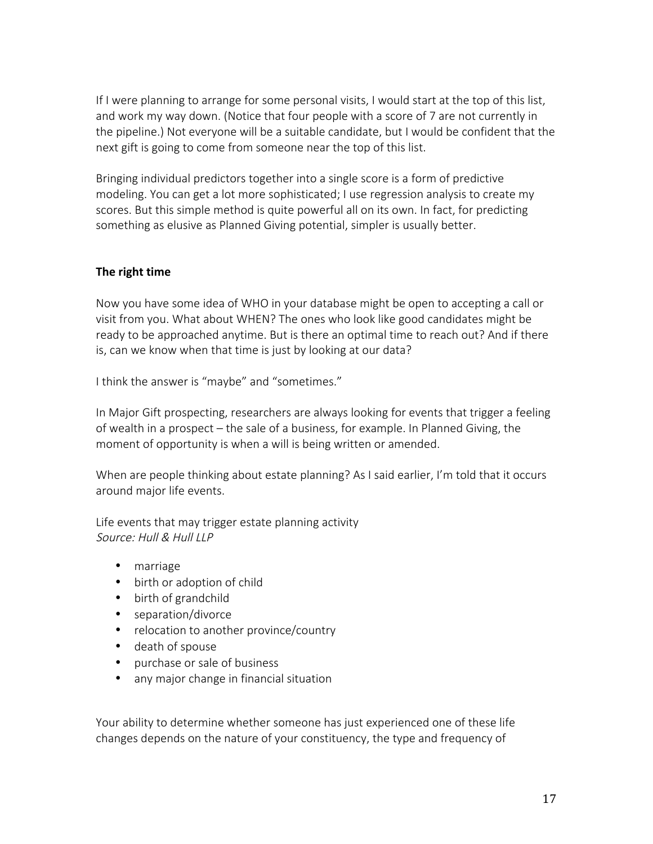If I were planning to arrange for some personal visits, I would start at the top of this list, and work my way down. (Notice that four people with a score of 7 are not currently in the pipeline.) Not everyone will be a suitable candidate, but I would be confident that the next gift is going to come from someone near the top of this list.

Bringing individual predictors together into a single score is a form of predictive modeling. You can get a lot more sophisticated; I use regression analysis to create my scores. But this simple method is quite powerful all on its own. In fact, for predicting something as elusive as Planned Giving potential, simpler is usually better.

## **The right time**

Now you have some idea of WHO in your database might be open to accepting a call or visit from you. What about WHEN? The ones who look like good candidates might be ready to be approached anytime. But is there an optimal time to reach out? And if there is, can we know when that time is just by looking at our data?

I think the answer is "maybe" and "sometimes."

In Major Gift prospecting, researchers are always looking for events that trigger a feeling of wealth in a prospect – the sale of a business, for example. In Planned Giving, the moment of opportunity is when a will is being written or amended.

When are people thinking about estate planning? As I said earlier, I'm told that it occurs around major life events.

Life events that may trigger estate planning activity Source: Hull & Hull LLP

- marriage
- birth or adoption of child
- birth of grandchild
- separation/divorce
- relocation to another province/country
- death of spouse
- purchase or sale of business
- any major change in financial situation

Your ability to determine whether someone has just experienced one of these life changes depends on the nature of your constituency, the type and frequency of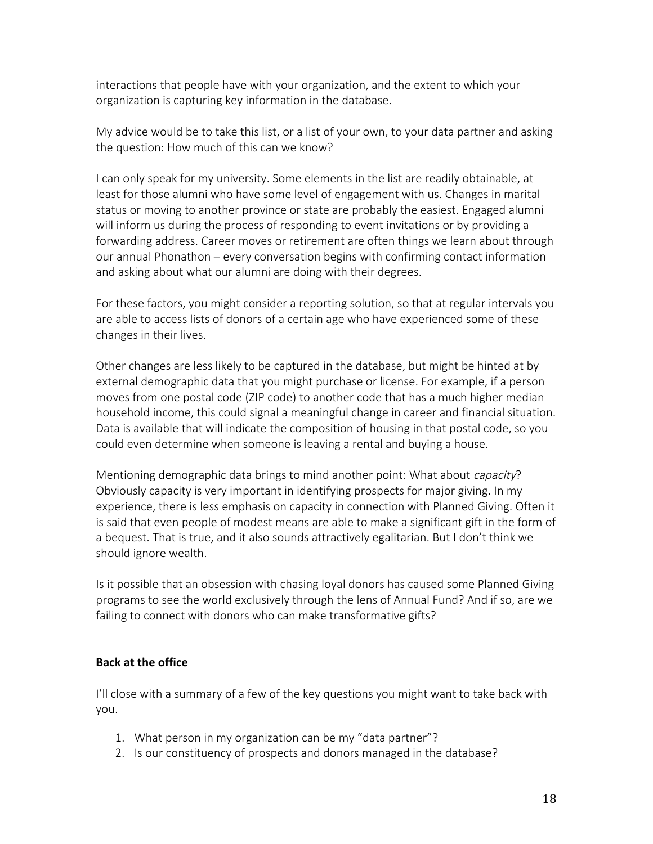interactions that people have with your organization, and the extent to which your organization is capturing key information in the database.

My advice would be to take this list, or a list of your own, to your data partner and asking the question: How much of this can we know?

I can only speak for my university. Some elements in the list are readily obtainable, at least for those alumni who have some level of engagement with us. Changes in marital status or moving to another province or state are probably the easiest. Engaged alumni will inform us during the process of responding to event invitations or by providing a forwarding address. Career moves or retirement are often things we learn about through our annual Phonathon – every conversation begins with confirming contact information and asking about what our alumni are doing with their degrees.

For these factors, you might consider a reporting solution, so that at regular intervals you are able to access lists of donors of a certain age who have experienced some of these changes in their lives.

Other changes are less likely to be captured in the database, but might be hinted at by external demographic data that you might purchase or license. For example, if a person moves from one postal code (ZIP code) to another code that has a much higher median household income, this could signal a meaningful change in career and financial situation. Data is available that will indicate the composition of housing in that postal code, so you could even determine when someone is leaving a rental and buying a house.

Mentioning demographic data brings to mind another point: What about *capacity*? Obviously capacity is very important in identifying prospects for major giving. In my experience, there is less emphasis on capacity in connection with Planned Giving. Often it is said that even people of modest means are able to make a significant gift in the form of a bequest. That is true, and it also sounds attractively egalitarian. But I don't think we should ignore wealth.

Is it possible that an obsession with chasing loyal donors has caused some Planned Giving programs to see the world exclusively through the lens of Annual Fund? And if so, are we failing to connect with donors who can make transformative gifts?

## **Back at the office**

I'll close with a summary of a few of the key questions you might want to take back with you.

- 1. What person in my organization can be my "data partner"?
- 2. Is our constituency of prospects and donors managed in the database?